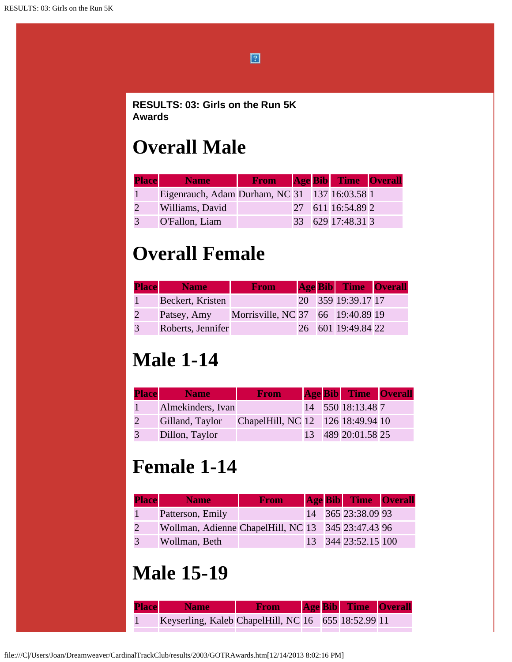

```
RESULTS: 03: Girls on the Run 5K
Awards
```
#### **Overall Male**

| <b>Place</b>  | <b>Name</b>                                   | <b>From</b> Age Bib Time Overall |  |                   |  |
|---------------|-----------------------------------------------|----------------------------------|--|-------------------|--|
|               | Eigenrauch, Adam Durham, NC 31 137 16:03.58 1 |                                  |  |                   |  |
|               | Williams, David                               |                                  |  | 27 611 16:54.89 2 |  |
| $\mathcal{R}$ | O'Fallon, Liam                                |                                  |  | 33 629 17:48.31 3 |  |

## **Overall Female**

| <b>Place</b> | <b>Name</b>       | <b>From</b>                       |  | <b>Age Bib</b> Time Overall |  |
|--------------|-------------------|-----------------------------------|--|-----------------------------|--|
|              | Beckert, Kristen  |                                   |  | 20 359 19:39.17 17          |  |
|              | Patsey, Amy       | Morrisville, NC 37 66 19:40.89 19 |  |                             |  |
| 3            | Roberts, Jennifer |                                   |  | 26 601 19:49.84 22          |  |

### **Male 1-14**

| <b>Place</b> | <b>Name</b>       | <b>From</b>                       |  | <b>Age Bib</b> Time Overall |  |
|--------------|-------------------|-----------------------------------|--|-----------------------------|--|
|              | Almekinders, Ivan |                                   |  | 14 550 18:13.48 7           |  |
|              | Gilland, Taylor   | ChapelHill, NC 12 126 18:49.94 10 |  |                             |  |
|              | Dillon, Taylor    |                                   |  | 13 489 20:01.58 25          |  |

## **Female 1-14**

| <b>Place</b> | <b>Name</b>                                        | <b>From</b> |  | <b>Age Bib</b> Time Overall |  |
|--------------|----------------------------------------------------|-------------|--|-----------------------------|--|
|              | Patterson, Emily                                   |             |  | 14 365 23:38.09 93          |  |
|              | Wollman, Adienne ChapelHill, NC 13 345 23:47.43 96 |             |  |                             |  |
|              | Wollman, Beth                                      |             |  | 13 344 23:52.15 100         |  |

#### **Male 15-19**

| <b>Place Name</b>                                   | <b>Example 3 From Age Bib Time Overall</b> |  |  |
|-----------------------------------------------------|--------------------------------------------|--|--|
| Keyserling, Kaleb ChapelHill, NC 16 655 18:52.99 11 |                                            |  |  |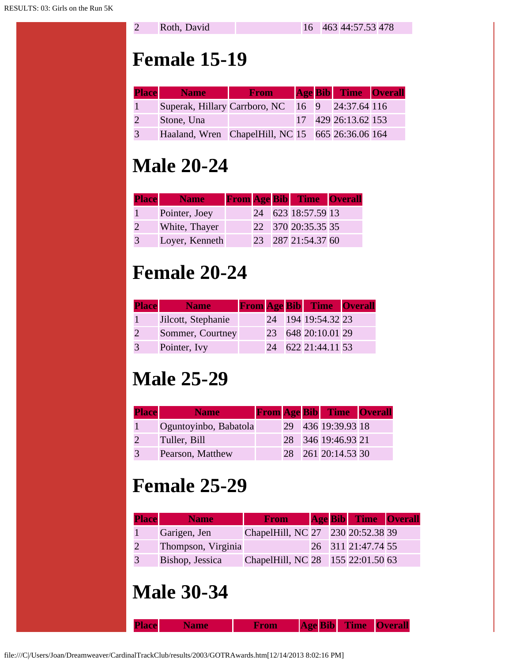#### **Female 15-19**

| <b>Place</b> Name                                | <b>From</b> |  | <b>Age Bib</b> Time Overall |  |
|--------------------------------------------------|-------------|--|-----------------------------|--|
| Superak, Hillary Carrboro, NC 16 9 24:37.64 116  |             |  |                             |  |
| Stone, Una                                       |             |  | 17 429 26:13.62 153         |  |
| Haaland, Wren ChapelHill, NC 15 665 26:36.06 164 |             |  |                             |  |

## **Male 20-24**

| <b>Place</b> | <b>Name</b>    |  | <b>From Age Bib Time Overall</b> |  |
|--------------|----------------|--|----------------------------------|--|
|              | Pointer, Joey  |  | 24 623 18:57.59 13               |  |
|              | White, Thayer  |  | 22 370 20:35.35 35               |  |
|              | Loyer, Kenneth |  | 23 287 21:54.37 60               |  |

# **Female 20-24**

| <b>Place</b> | <b>Name</b>        |  | <b>From Age Bib Time Overall</b> |  |
|--------------|--------------------|--|----------------------------------|--|
|              | Jilcott, Stephanie |  | 24 194 19:54.32 23               |  |
|              | Sommer, Courtney   |  | 23 648 20:10.01 29               |  |
|              | Pointer, Ivy       |  | 24 622 21:44.11 53               |  |

## **Male 25-29**

| <b>Place</b> | <b>Name</b>           |    | <b>From Age Bib Time Overall</b> |  |
|--------------|-----------------------|----|----------------------------------|--|
|              | Oguntoyinbo, Babatola |    | 29 436 19:39.93 18               |  |
|              | Tuller, Bill          | 28 | 346 19:46.93 21                  |  |
|              | Pearson, Matthew      | 28 | 261 20:14.53 30                  |  |

## **Female 25-29**

| <b>Place</b> | <b>Name</b>        | <b>From</b>                       |  | <b>Age Bib</b> Time Overall |  |
|--------------|--------------------|-----------------------------------|--|-----------------------------|--|
|              | Garigen, Jen       | ChapelHill, NC 27 230 20:52.38 39 |  |                             |  |
|              | Thompson, Virginia |                                   |  | 26 311 21:47.74 55          |  |
|              | Bishop, Jessica    | ChapelHill, NC 28 155 22:01.50 63 |  |                             |  |

## **Male 30-34**

**Place Name From Age Bib Time Overall**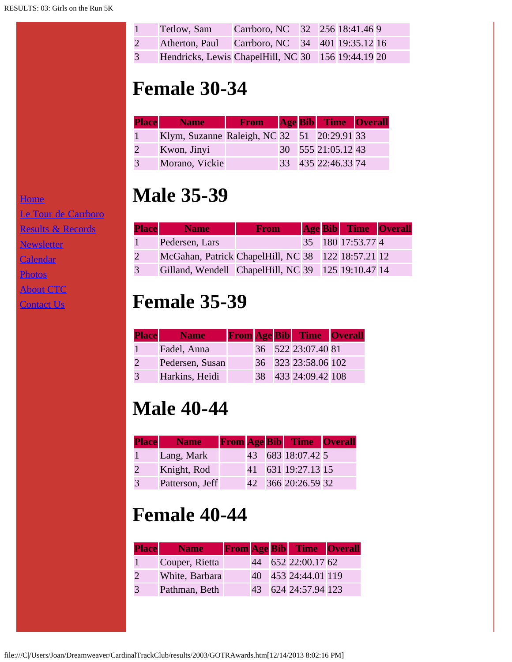| Tetlow, Sam                                          | Carrboro, NC 32 256 18:41.46 9 |  |  |
|------------------------------------------------------|--------------------------------|--|--|
| 2 Atherton, Paul Carrboro, NC 34 401 19:35.12 16     |                                |  |  |
| 3 Hendricks, Lewis ChapelHill, NC 30 156 19:44.19 20 |                                |  |  |

## **Female 30-34**

| <b>Place</b> | <b>Name</b>                                 | <b>From</b> Age Bib Time Overall |  |                    |  |
|--------------|---------------------------------------------|----------------------------------|--|--------------------|--|
|              | Klym, Suzanne Raleigh, NC 32 51 20:29.91 33 |                                  |  |                    |  |
|              | Kwon, Jinyi                                 |                                  |  | 30 555 21:05.12 43 |  |
|              | Morano, Vickie                              |                                  |  | 33 435 22:46.33 74 |  |

#### **Male 35-39**

| <b>Place</b> | <b>Name</b>                                        | From |  | <b>Age Bib</b> Time Overall |  |
|--------------|----------------------------------------------------|------|--|-----------------------------|--|
|              | Pedersen, Lars                                     |      |  | 35 180 17:53.77 4           |  |
|              | McGahan, Patrick ChapelHill, NC 38 122 18:57.21 12 |      |  |                             |  |
|              | Gilland, Wendell ChapelHill, NC 39 125 19:10.47 14 |      |  |                             |  |

## **Female 35-39**

| <b>Place</b> | <b>Name</b>     |  | <b>From Age Bib Time Overall</b> |  |
|--------------|-----------------|--|----------------------------------|--|
|              | Fadel, Anna     |  | 36 522 23:07.40 81               |  |
|              | Pedersen, Susan |  | 36 323 23:58.06 102              |  |
|              | Harkins, Heidi  |  | 38 433 24:09.42 108              |  |

## **Male 40-44**

| <b>Place Name</b> |  | <b>From Age Bib Time Overall</b> |  |
|-------------------|--|----------------------------------|--|
| Lang, Mark        |  | 43 683 18:07.42 5                |  |
| Knight, Rod       |  | 41 631 19:27.13 15               |  |
| Patterson, Jeff   |  | 42 366 20:26.59 32               |  |

#### **Female 40-44**

| <b>Place</b> | <b>Name</b>    |  | <b>From Age Bib</b> Time Overall |  |
|--------------|----------------|--|----------------------------------|--|
|              | Couper, Rietta |  | 44 652 22:00.17 62               |  |
|              | White, Barbara |  | 40 453 24:44.01 119              |  |
|              | Pathman, Beth  |  | 43 624 24:57.94 123              |  |

**[Home](file:///home.html)** 

[Le Tour de Carrboro](file:///letourdecarrboro.html)

[Results & Records](file:///results.html)

**[Newsletter](file:///newsletterSignup.html)** 

**[Calendar](file:///page/page/8345191.htm)** 

[Photos](file:///photos.html)

[About CTC](file:///about.html)

**[Contact Us](file:///contactUs.html)**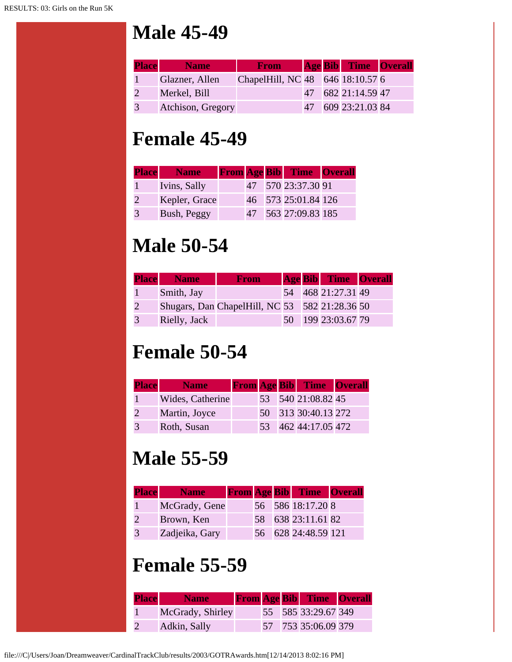#### **Male 45-49**

| <b>Place</b> | <b>Name</b>       | <b>From</b>                      |  | <b>Age Bib</b> Time Overall |  |
|--------------|-------------------|----------------------------------|--|-----------------------------|--|
|              | Glazner, Allen    | ChapelHill, NC 48 646 18:10.57 6 |  |                             |  |
|              | Merkel, Bill      |                                  |  | 47 682 21:14.59 47          |  |
| 3            | Atchison, Gregory |                                  |  | 47 609 23:21.03 84          |  |

#### **Female 45-49**

| <b>Place</b> Name |                 | <b>From Age Bib Time Overall</b> |  |
|-------------------|-----------------|----------------------------------|--|
| Ivins, Sally      |                 | 47 570 23:37.30 91               |  |
| Kepler, Grace     |                 | 46 573 25:01.84 126              |  |
| Bush, Peggy       | 47 <sup>°</sup> | 563 27:09.83 185                 |  |

# **Male 50-54**

|   | <b>Place</b> Name | <b>From</b>                                    |  | <b>Age Bib</b> Time Overall |  |
|---|-------------------|------------------------------------------------|--|-----------------------------|--|
|   | Smith, Jay        |                                                |  | 54 468 21:27.31 49          |  |
|   |                   | Shugars, Dan ChapelHill, NC 53 582 21:28.36 50 |  |                             |  |
| 3 | Rielly, Jack      |                                                |  | 50 199 23:03.67 79          |  |

## **Female 50-54**

| <b>Place</b> | <b>Name</b>      |  | <b>From Age Bib Time Overall</b> |  |
|--------------|------------------|--|----------------------------------|--|
|              | Wides, Catherine |  | 53 540 21:08.82 45               |  |
|              | Martin, Joyce    |  | 50 313 30:40.13 272              |  |
|              | Roth, Susan      |  | 53 462 44:17.05 472              |  |

# **Male 55-59**

| <b>Place</b> | Name <sup> </sup> |  | <b>From Age Bib</b> Time Overall |  |
|--------------|-------------------|--|----------------------------------|--|
|              | McGrady, Gene     |  | 56 586 18:17.20 8                |  |
|              | Brown, Ken        |  | 58 638 23:11.61 82               |  |
| 3            | Zadjeika, Gary    |  | 56 628 24:48.59 121              |  |

## **Female 55-59**

| <b>Place</b> | <b>Name</b>      |  | <b>From Age Bib Time Overall</b> |  |
|--------------|------------------|--|----------------------------------|--|
|              | McGrady, Shirley |  | 55 585 33:29.67 349              |  |
|              | Adkin, Sally     |  | 57 753 35:06.09 379              |  |